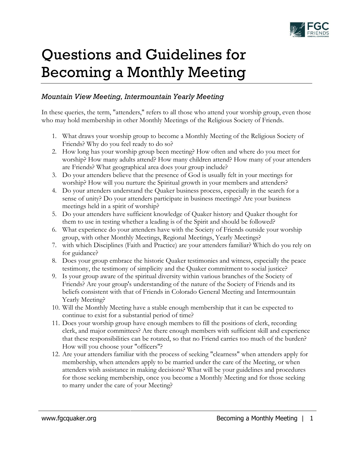

## Questions and Guidelines for Becoming a Monthly Meeting

## *Mountain View Meeting, Intermountain Yearly Meeting*

In these queries, the term, "attenders," refers to all those who attend your worship group, even those who may hold membership in other Monthly Meetings of the Religious Society of Friends.

- 1. What draws your worship group to become a Monthly Meeting of the Religious Society of Friends? Why do you feel ready to do so?
- 2. How long has your worship group been meeting? How often and where do you meet for worship? How many adults attend? How many children attend? How many of your attenders are Friends? What geographical area does your group include?
- 3. Do your attenders believe that the presence of God is usually felt in your meetings for worship? How will you nurture the Spiritual growth in your members and attenders?
- 4. Do your attenders understand the Quaker business process, especially in the search for a sense of unity? Do your attenders participate in business meetings? Are your business meetings held in a spirit of worship?
- 5. Do your attenders have sufficient knowledge of Quaker history and Quaker thought for them to use in testing whether a leading is of the Spirit and should be followed?
- 6. What experience do your attenders have with the Society of Friends outside your worship group, with other Monthly Meetings, Regional Meetings, Yearly Meetings?
- 7. with which Disciplines (Faith and Practice) are your attenders familiar? Which do you rely on for guidance?
- 8. Does your group embrace the historic Quaker testimonies and witness, especially the peace testimony, the testimony of simplicity and the Quaker commitment to social justice?
- 9. Is your group aware of the spiritual diversity within various branches of the Society of Friends? Are your group's understanding of the nature of the Society of Friends and its beliefs consistent with that of Friends in Colorado General Meeting and Intermountain Yearly Meeting?
- 10. Will the Monthly Meeting have a stable enough membership that it can be expected to continue to exist for a substantial period of time?
- 11. Does your worship group have enough members to fill the positions of clerk, recording clerk, and major committees? Are there enough members with sufficient skill and experience that these responsibilities can be rotated, so that no Friend carries too much of the burden? How will you choose your "officers"?
- 12. Are your attenders familiar with the process of seeking "clearness" when attenders apply for membership, when attenders apply to be married under the care of the Meeting, or when attenders wish assistance in making decisions? What will be your guidelines and procedures for those seeking membership, once you become a Monthly Meeting and for those seeking to marry under the care of your Meeting?